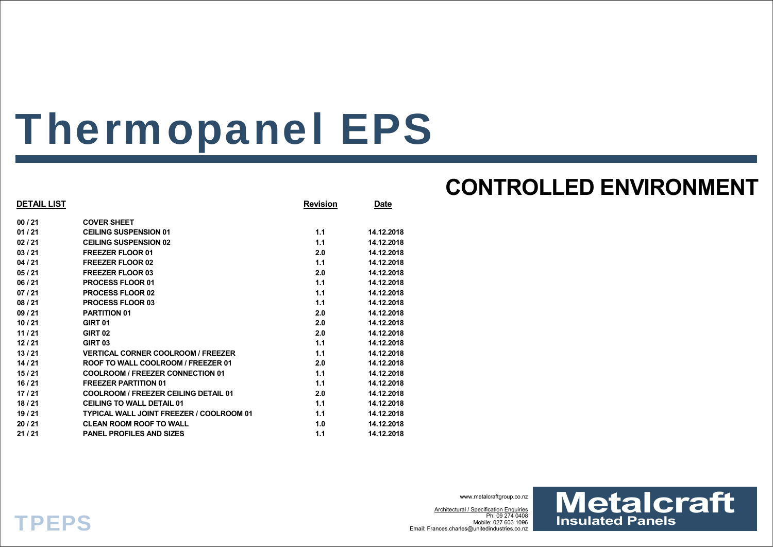# Thermopanel EPS

| DETAIL LIST |                                             | <b>Revision</b> | <u>Date</u> |
|-------------|---------------------------------------------|-----------------|-------------|
| 00 / 21     | <b>COVER SHEET</b>                          |                 |             |
| 01 / 21     | <b>CEILING SUSPENSION 01</b>                | 1.1             | 14.12.2018  |
| 02 / 21     | <b>CEILING SUSPENSION 02</b>                | 1.1             | 14.12.2018  |
| 03/21       | <b>FREEZER FLOOR 01</b>                     | 2.0             | 14.12.2018  |
| 04 / 21     | <b>FREEZER FLOOR 02</b>                     | 1.1             | 14.12.2018  |
| 05 / 21     | <b>FREEZER FLOOR 03</b>                     | 2.0             | 14.12.2018  |
| 06 / 21     | <b>PROCESS FLOOR 01</b>                     | 1.1             | 14.12.2018  |
| 07 / 21     | <b>PROCESS FLOOR 02</b>                     | 1.1             | 14.12.2018  |
| 08/21       | <b>PROCESS FLOOR 03</b>                     | 1.1             | 14.12.2018  |
| 09 / 21     | <b>PARTITION 01</b>                         | 2.0             | 14.12.2018  |
| 10 / 21     | GIRT <sub>01</sub>                          | 2.0             | 14.12.2018  |
| 11 / 21     | <b>GIRT 02</b>                              | 2.0             | 14.12.2018  |
| 12/21       | <b>GIRT 03</b>                              | 1.1             | 14.12.2018  |
| 13/21       | <b>VERTICAL CORNER COOLROOM / FREEZER</b>   | 1.1             | 14.12.2018  |
| 14 / 21     | ROOF TO WALL COOLROOM / FREEZER 01          | 2.0             | 14.12.2018  |
| 15 / 21     | <b>COOLROOM / FREEZER CONNECTION 01</b>     | 1.1             | 14.12.2018  |
| 16 / 21     | <b>FREEZER PARTITION 01</b>                 | 1.1             | 14.12.2018  |
| 17/21       | <b>COOLROOM / FREEZER CEILING DETAIL 01</b> | 2.0             | 14.12.2018  |
| 18/21       | <b>CEILING TO WALL DETAIL 01</b>            | 1.1             | 14.12.2018  |
| 19 / 21     | TYPICAL WALL JOINT FREEZER / COOLROOM 01    | 1.1             | 14.12.2018  |
| 20 / 21     | <b>CLEAN ROOM ROOF TO WALL</b>              | 1.0             | 14.12.2018  |
| 21 / 21     | <b>PANEL PROFILES AND SIZES</b>             | 1.1             | 14.12.2018  |
|             |                                             |                 |             |

# **CONTROLLED ENVIRONMENT**

www.metalcraftgroup.co.nz

Architectural / Specification Enquiries Ph: 09 274 0408 Mobile: 027 603 1096Email: Frances.charles@unitedindustries.co.nz



# TPEPS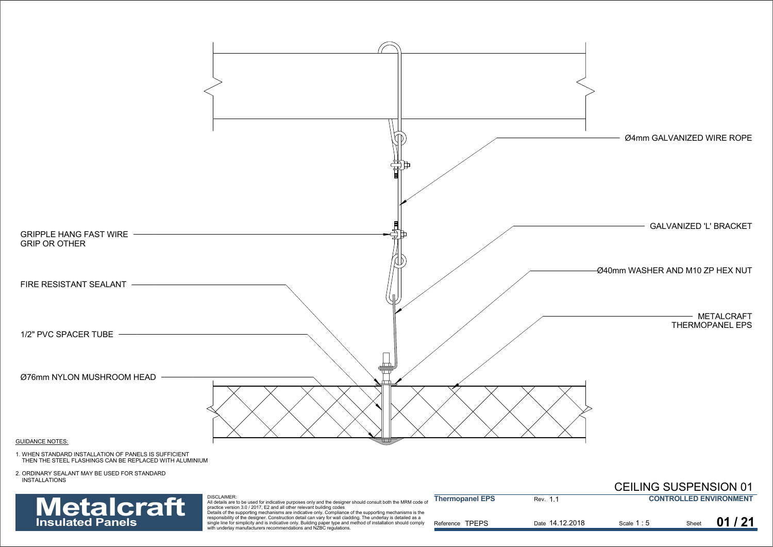

1. WHEN STANDARD INSTALLATION OF PANELS IS SUFFICIENT THEN THE STEEL FLASHINGS CAN BE REPLACED WITH ALUMINIUM

2. ORDINARY SEALANT MAY BE USED FOR STANDARD INSTALLATIONS

| Metalcraft              | <b>DISCLAIMER:</b><br>All details are to be used for indicative purposes only and the designer should consult both the MRM code of<br>practice version 3.0 / 2017. E2 and all other relevant building codes<br>Details of the supporting mechanisms are indicative only. Compliance of the supporting mechanisms is the | <b>Thermopanel EPS</b> | Rev. 1.         |           |       | <b>CONTROLLED ENVIRONMENT</b> |
|-------------------------|-------------------------------------------------------------------------------------------------------------------------------------------------------------------------------------------------------------------------------------------------------------------------------------------------------------------------|------------------------|-----------------|-----------|-------|-------------------------------|
| <b>Insulated Panels</b> | responsibility of the designer. Construction detail can vary for wall cladding. The underlay is detailed as a<br>single line for simplicity and is indicative only. Building paper type and method of installation should comply<br>with underlay manufacturers recommendations and NZBC regulations.                   | Reference TPEPS        | Date 14.12.2018 | Scale 1:5 | Sheet | 01/21                         |

CEILING SUSPENSION 01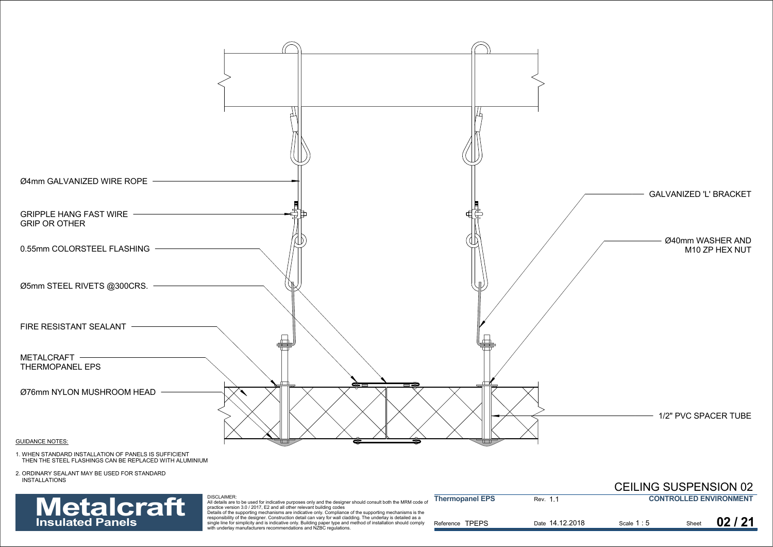

- 1. WHEN STANDARD INSTALLATION OF PANELS IS SUFFICIENT THEN THE STEEL FLASHINGS CAN BE REPLACED WITH ALUMINIUM
- 2. ORDINARY SEALANT MAY BE USED FOR STANDARD INSTALLATIONS



| <b>Metalcraft</b>       | <b>DISCLAIMER:</b><br>All details are to be used for indicative purposes only and the designer should consult both the MRM code of<br>practice version 3.0 / 2017. E2 and all other relevant building codes<br>Details of the supporting mechanisms are indicative only. Compliance of the supporting mechanisms is the | <b>Thermopanel EPS</b> | Rev. 1.1        |           |       | <b>CONTROLLED ENVIRONMENT</b> |
|-------------------------|-------------------------------------------------------------------------------------------------------------------------------------------------------------------------------------------------------------------------------------------------------------------------------------------------------------------------|------------------------|-----------------|-----------|-------|-------------------------------|
| <b>Insulated Panels</b> | responsibility of the designer. Construction detail can vary for wall cladding. The underlay is detailed as a<br>single line for simplicity and is indicative only. Building paper type and method of installation should comply<br>with underlay manufacturers recommendations and NZBC regulations.                   | Reference TPEPS        | Date 14.12.2018 | Scale 1:5 | Sheet | 02/2'                         |

CEILING SUSPENSION 02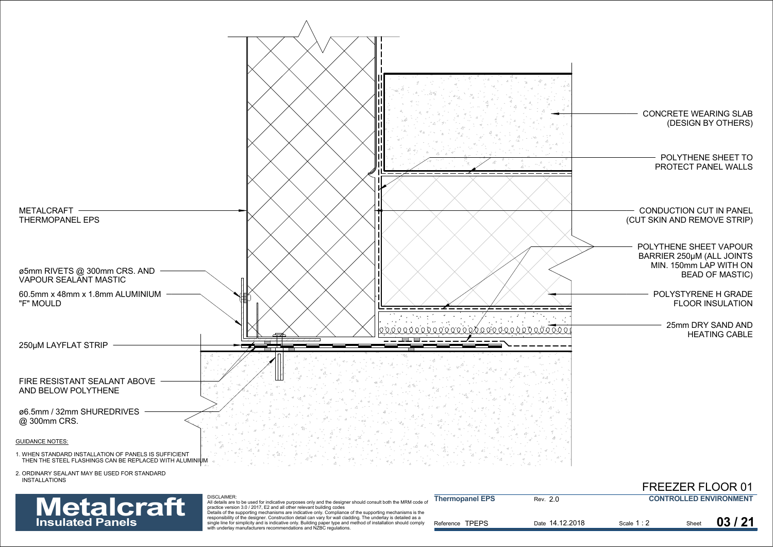

| <b>Metalcraft</b>       | DISCLAIMER:<br>All details are to be used for indicative purposes only and the designer should consult both the MRM code of<br>practice version 3.0 / 2017. E2 and all other relevant building codes<br>Details of the supporting mechanisms are indicative only. Compliance of the supporting mechanisms is the | <b>Thermopanel EPS</b> | Rev. 2.0        |           |       | <b>CONTROLLED ENVIRONMENT</b> |
|-------------------------|------------------------------------------------------------------------------------------------------------------------------------------------------------------------------------------------------------------------------------------------------------------------------------------------------------------|------------------------|-----------------|-----------|-------|-------------------------------|
| <b>Insulated Panels</b> | responsibility of the designer. Construction detail can vary for wall cladding. The underlay is detailed as a<br>single line for simplicity and is indicative only. Building paper type and method of installation should comply<br>with underlay manufacturers recommendations and NZBC regulations.            | Reference TPEPS        | Date 14.12.2018 | Scale 1:2 | Sheet | 03/21                         |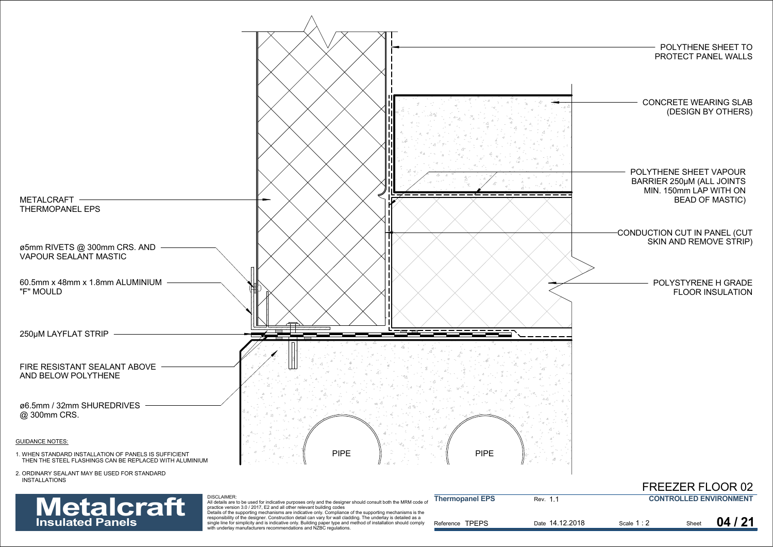

| <b>Metalcraft</b>       |  |
|-------------------------|--|
| <b>Insulated Panels</b> |  |

| <b>Metalcraft</b>       | DISCLAIMER<br>All details are to be used for indicative purposes only and the designer should consult both the MRM code of<br>practice version 3.0 / 2017. E2 and all other relevant building codes<br>Details of the supporting mechanisms are indicative only. Compliance of the supporting mechanisms is the | <b>Thermopanel EPS</b> | Rev. 1.         |           | <b>CONTROLLED ENVIRONMENT</b> |
|-------------------------|-----------------------------------------------------------------------------------------------------------------------------------------------------------------------------------------------------------------------------------------------------------------------------------------------------------------|------------------------|-----------------|-----------|-------------------------------|
| <b>Insulated Panels</b> | responsibility of the designer. Construction detail can vary for wall cladding. The underlay is detailed as a<br>single line for simplicity and is indicative only. Building paper type and method of installation should comply<br>with underlay manufacturers recommendations and NZBC regulations.           | Reference TPEPS        | Date 14.12.2018 | Scale 1:2 | 04/21                         |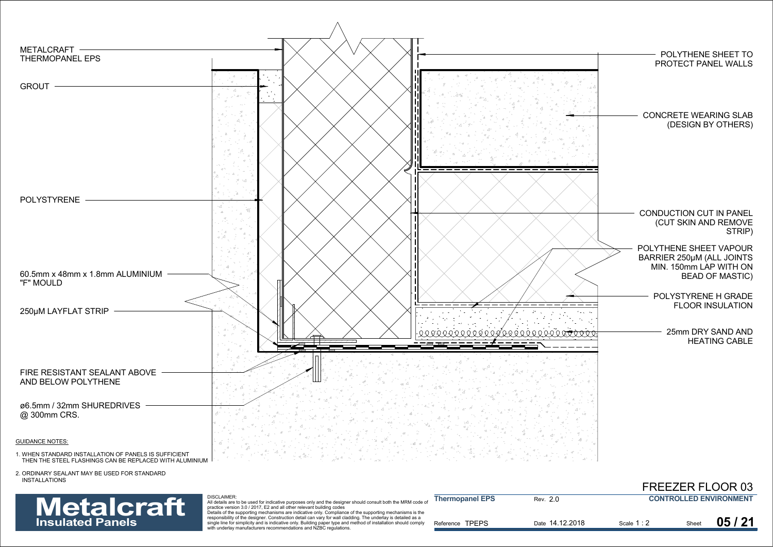

2. ORDINARY SEALANT MAY BE USED FOR STANDARD INSTALLATIONS



| Metalcraft              | <b>DISCLAIMER:</b><br>All details are to be used for indicative purposes only and the designer should consult both the MRM code of<br>practice version 3.0 / 2017. E2 and all other relevant building codes                                                                                                                                                                                                       | <b>Thermopanel EPS</b> | Rev. 2.0        |           |       | <b>CONTROLLED ENVIRONMENT</b> |
|-------------------------|-------------------------------------------------------------------------------------------------------------------------------------------------------------------------------------------------------------------------------------------------------------------------------------------------------------------------------------------------------------------------------------------------------------------|------------------------|-----------------|-----------|-------|-------------------------------|
| <b>Insulated Panels</b> | Details of the supporting mechanisms are indicative only. Compliance of the supporting mechanisms is the<br>responsibility of the designer. Construction detail can vary for wall cladding. The underlay is detailed as a<br>single line for simplicity and is indicative only. Building paper type and method of installation should comply<br>with underlay manufacturers recommendations and NZBC regulations. | Reference TPEPS        | Date 14.12.2018 | Scale 1:2 | Sheet | 05/21                         |

FREEZER FLOOR 03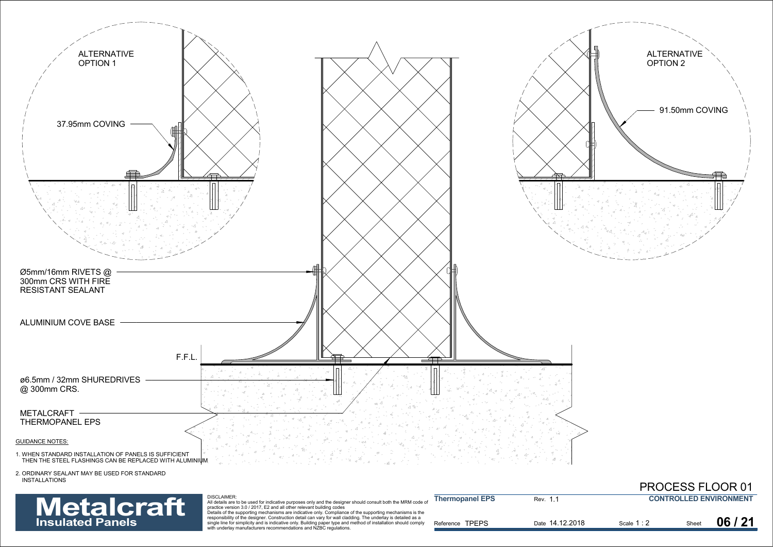

| <b>Metalcraft</b>       | <b>DISCLAIMER:</b><br>All details are to be used for indicative purposes only and the designer should consult both the MRM code of<br>practice version 3.0 / 2017. E2 and all other relevant building codes<br>Details of the supporting mechanisms are indicative only. Compliance of the supporting mechanisms is the | <b>Thermopanel EPS</b> | Rev. 1.1        |           |       | <b>CONTROLLED ENVIRONMENT</b> |
|-------------------------|-------------------------------------------------------------------------------------------------------------------------------------------------------------------------------------------------------------------------------------------------------------------------------------------------------------------------|------------------------|-----------------|-----------|-------|-------------------------------|
| <b>Insulated Panels</b> | responsibility of the designer. Construction detail can vary for wall cladding. The underlay is detailed as a<br>single line for simplicity and is indicative only. Building paper type and method of installation should comply<br>with underlay manufacturers recommendations and NZBC regulations.                   | Reference TPEPS        | Date 14.12.2018 | Scale 1:2 | Sheet | 06/21                         |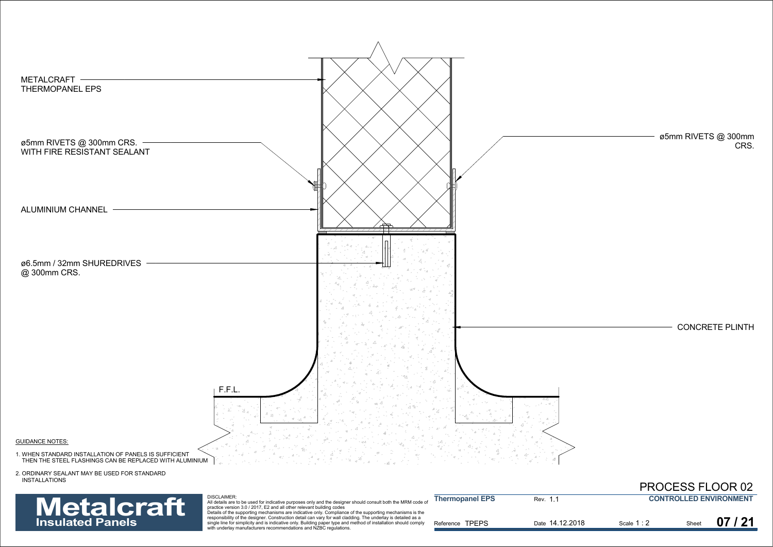

| <b>Metalcraft</b>       | <b>DISCLAIMER:</b><br>All details are to be used for indicative purposes only and the designer should consult both the MRM code of<br>practice version 3.0 / 2017. E2 and all other relevant building codes<br>Details of the supporting mechanisms are indicative only. Compliance of the supporting mechanisms is the | <b>Thermopanel EPS</b> | Rev. 11         |           |       | <b>CONTROLLED ENVIRONMENT</b> |
|-------------------------|-------------------------------------------------------------------------------------------------------------------------------------------------------------------------------------------------------------------------------------------------------------------------------------------------------------------------|------------------------|-----------------|-----------|-------|-------------------------------|
| <b>Insulated Panels</b> | responsibility of the designer. Construction detail can vary for wall cladding. The underlay is detailed as a<br>single line for simplicity and is indicative only. Building paper type and method of installation should comply<br>with underlay manufacturers recommendations and NZBC regulations.                   | Reference TPEPS        | Date 14.12.2018 | Scale 1:2 | Sheet | 07/21                         |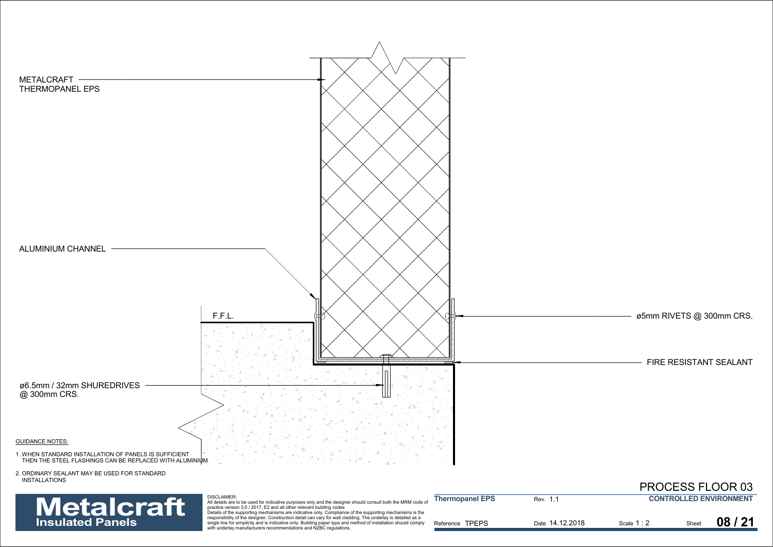

**Insulated Panels**

| raft: | practice version 3.0 / 2017. E2 and all other relevant building codes<br>Details of the supporting mechanisms are indicative only. Compliance of the supporting mechanisms is the<br>responsibility of the designer. Construction detail can vary for wall cladding. The underlay is detailed as a<br>single line for simplicity and is indicative only. Building paper type and method of installation should comply | Reference TPEPS | Date 14.12.2018 | Scale 1:2 | Sheet | 08 / 21 |
|-------|-----------------------------------------------------------------------------------------------------------------------------------------------------------------------------------------------------------------------------------------------------------------------------------------------------------------------------------------------------------------------------------------------------------------------|-----------------|-----------------|-----------|-------|---------|
|       | with underlay manufacturers recommendations and NZBC regulations.                                                                                                                                                                                                                                                                                                                                                     |                 |                 |           |       |         |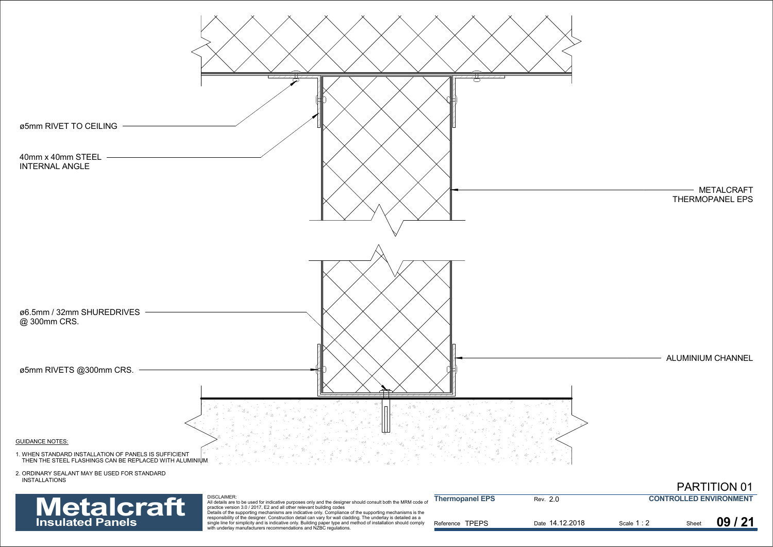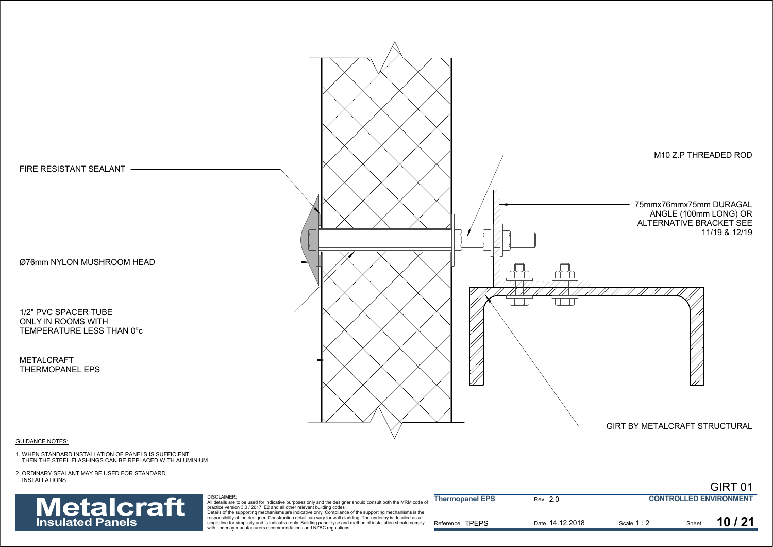

- 1. WHEN STANDARD INSTALLATION OF PANELS IS SUFFICIENT THEN THE STEEL FLASHINGS CAN BE REPLACED WITH ALUMINIUM
- 2. ORDINARY SEALANT MAY BE USED FOR STANDARD INSTALLATIONS



|                         |                                                                                                                                                                                                                                                                                                                         |                        |                 |           |       | ו אוט '                       |
|-------------------------|-------------------------------------------------------------------------------------------------------------------------------------------------------------------------------------------------------------------------------------------------------------------------------------------------------------------------|------------------------|-----------------|-----------|-------|-------------------------------|
| <b>Metalcraft</b>       | <b>DISCLAIMER:</b><br>All details are to be used for indicative purposes only and the designer should consult both the MRM code of<br>practice version 3.0 / 2017, E2 and all other relevant building codes<br>Details of the supporting mechanisms are indicative only. Compliance of the supporting mechanisms is the | <b>Thermopanel EPS</b> | Rev. 2.0        |           |       | <b>CONTROLLED ENVIRONMENT</b> |
| <b>Insulated Panels</b> | responsibility of the designer. Construction detail can vary for wall cladding. The underlay is detailed as a<br>single line for simplicity and is indicative only. Building paper type and method of installation should comply<br>with underlay manufacturers recommendations and NZBC regulations.                   | Reference TPEPS        | Date 14.12.2018 | Scale 1:2 | Sheet | $10/2^7$                      |

 $CIDTQ1$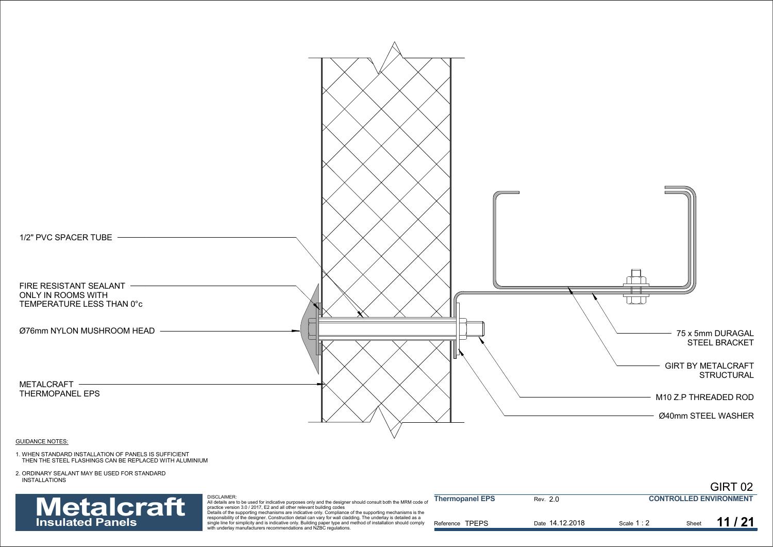

- 1. WHEN STANDARD INSTALLATION OF PANELS IS SUFFICIENT THEN THE STEEL FLASHINGS CAN BE REPLACED WITH ALUMINIUM
- 2. ORDINARY SEALANT MAY BE USED FOR STANDARD INSTALLATIONS



|                         |                                                                                                                                                                                                                                                                                                                  |                        |                 |           |       | <b>UIITI UZ</b>               |
|-------------------------|------------------------------------------------------------------------------------------------------------------------------------------------------------------------------------------------------------------------------------------------------------------------------------------------------------------|------------------------|-----------------|-----------|-------|-------------------------------|
| <b>Metalcraft</b>       | DISCLAIMER:<br>All details are to be used for indicative purposes only and the designer should consult both the MRM code of<br>practice version 3.0 / 2017, E2 and all other relevant building codes<br>Details of the supporting mechanisms are indicative only. Compliance of the supporting mechanisms is the | <b>Thermopanel EPS</b> | Rev. 2.0        |           |       | <b>CONTROLLED ENVIRONMENT</b> |
| <b>Insulated Panels</b> | responsibility of the designer. Construction detail can vary for wall cladding. The underlay is detailed as a<br>single line for simplicity and is indicative only. Building paper type and method of installation should comply<br>with underlay manufacturers recommendations and NZBC regulations.            | Reference TPEPS        | Date 14.12.2018 | Scale 1:2 | Sheet | 11/21                         |

CIDT 02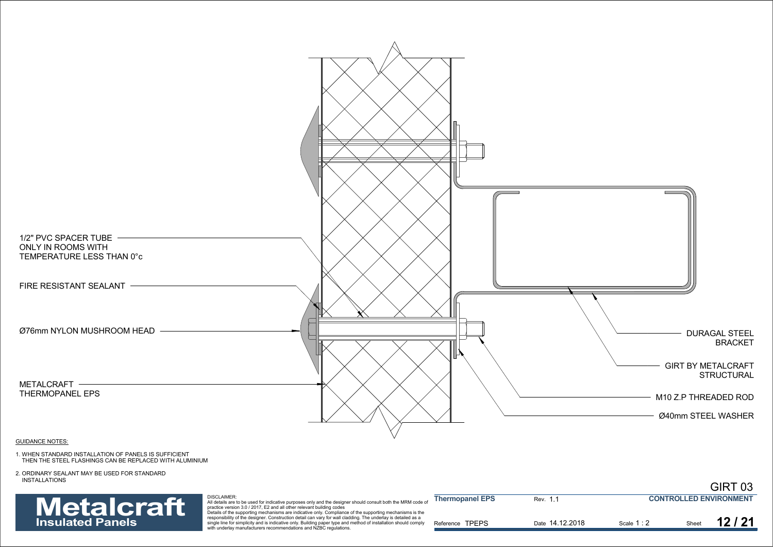

- 1. WHEN STANDARD INSTALLATION OF PANELS IS SUFFICIENT THEN THE STEEL FLASHINGS CAN BE REPLACED WITH ALUMINIUM
- 2. ORDINARY SEALANT MAY BE USED FOR STANDARD INSTALLATIONS



|                                                                                                                                                                                                                                                                                                                                                                                                                                                                                                                                                           |                                                                                                              |                        |           |       |  | טט ורט                        |
|-----------------------------------------------------------------------------------------------------------------------------------------------------------------------------------------------------------------------------------------------------------------------------------------------------------------------------------------------------------------------------------------------------------------------------------------------------------------------------------------------------------------------------------------------------------|--------------------------------------------------------------------------------------------------------------|------------------------|-----------|-------|--|-------------------------------|
| DISCLAIMER:<br><b>Metalcraft</b><br>practice version 3.0 / 2017, E2 and all other relevant building codes<br>Details of the supporting mechanisms are indicative only. Compliance of the supporting mechanisms is the<br>responsibility of the designer. Construction detail can vary for wall cladding. The underlay is detailed as a<br><b>Insulated Panels</b><br>single line for simplicity and is indicative only. Building paper type and method of installation should comply<br>with underlay manufacturers recommendations and NZBC regulations. | All details are to be used for indicative purposes only and the designer should consult both the MRM code of | <b>Thermopanel EPS</b> | Rev. 1.1  |       |  | <b>CONTROLLED ENVIRONMENT</b> |
|                                                                                                                                                                                                                                                                                                                                                                                                                                                                                                                                                           | Reference TPEPS                                                                                              | Date 14.12.2018        | Scale 1:2 | Sheet |  |                               |

CIDT 03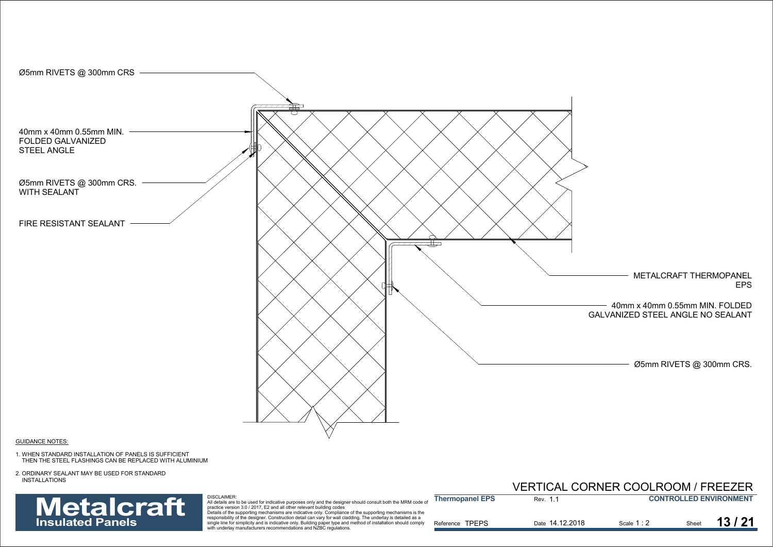

- 1. WHEN STANDARD INSTALLATION OF PANELS IS SUFFICIENT THEN THE STEEL FLASHINGS CAN BE REPLACED WITH ALUMINIUM
- 2. ORDINARY SEALANT MAY BE USED FOR STANDARD INSTALLATIONS



### **CONTROLLED ENVIRONMENT**Rev. 1.1 VERTICAL CORNER COOLROOM / FREEZER

| <b>Metalcraft</b>       | DISCLAIMER:<br>All details are to be used for indicative purposes only and the designer should consult both the MRM code of<br>practice version 3.0 / 2017. E2 and all other relevant building codes                                                                                                                                                                                                              | <b>Thermopanel EPS</b> | Rev. 1.1        |           | <b>CONTROLLED ENVIRONMENT</b> |       |
|-------------------------|-------------------------------------------------------------------------------------------------------------------------------------------------------------------------------------------------------------------------------------------------------------------------------------------------------------------------------------------------------------------------------------------------------------------|------------------------|-----------------|-----------|-------------------------------|-------|
| <b>Insulated Panels</b> | Details of the supporting mechanisms are indicative only. Compliance of the supporting mechanisms is the<br>responsibility of the designer. Construction detail can vary for wall cladding. The underlay is detailed as a<br>single line for simplicity and is indicative only. Building paper type and method of installation should comply<br>with underlay manufacturers recommendations and NZBC regulations. | Reference TPEPS        | Date 14.12.2018 | Scale 1:2 |                               | 13/21 |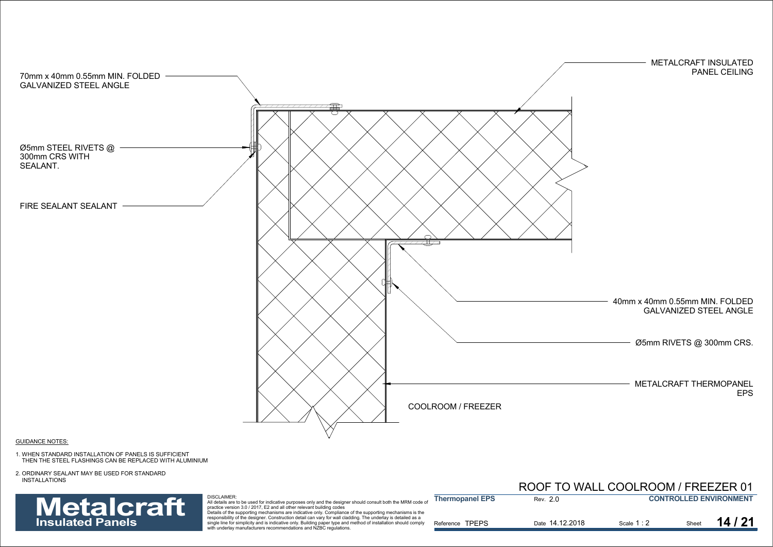

- 1. WHEN STANDARD INSTALLATION OF PANELS IS SUFFICIENT THEN THE STEEL FLASHINGS CAN BE REPLACED WITH ALUMINIUM
- 2. ORDINARY SEALANT MAY BE USED FOR STANDARD INSTALLATIONS

## **Metalcraft Insulated Panels**

### **CONTROLLED ENVIRONMENT**ROOF TO WALL COOLROOM / FREEZER 01

| <b>Metalcraft</b>       | <b>DISCLAIMER</b><br>All details are to be used for indicative purposes only and the designer should consult both the MRM code of<br>practice version 3.0 / 2017. E2 and all other relevant building codes                                                                                                                                                                                                        | <b>Thermopanel EPS</b> | Rev. 2.0        |           |       | <b>CONTROLLED ENVIRONMENT</b> |
|-------------------------|-------------------------------------------------------------------------------------------------------------------------------------------------------------------------------------------------------------------------------------------------------------------------------------------------------------------------------------------------------------------------------------------------------------------|------------------------|-----------------|-----------|-------|-------------------------------|
| <b>Insulated Panels</b> | Details of the supporting mechanisms are indicative only. Compliance of the supporting mechanisms is the<br>responsibility of the designer. Construction detail can vary for wall cladding. The underlay is detailed as a<br>single line for simplicity and is indicative only. Building paper type and method of installation should comply<br>with underlay manufacturers recommendations and NZBC regulations. | Reference TPEPS        | Date 14.12.2018 | Scale 1:2 | Sheet | 14/21                         |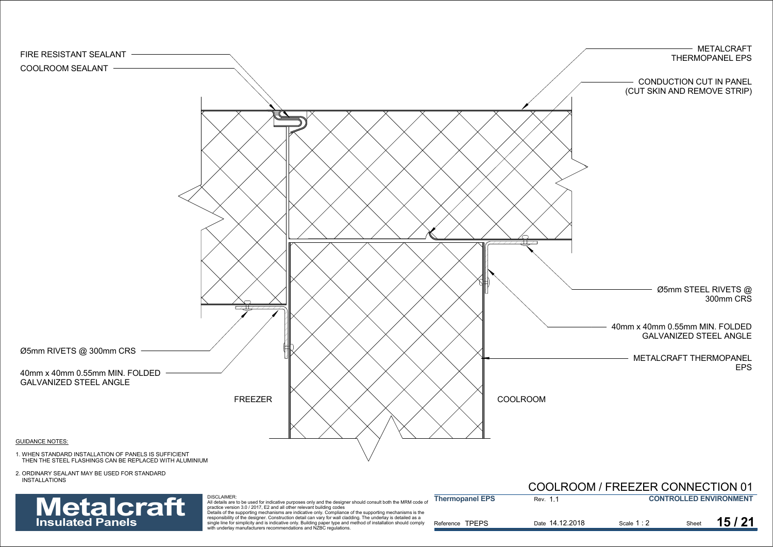

2. ORDINARY SEALANT MAY BE USED FOR STANDARD INSTALLATIONS



|  | COOLROOM / FREEZER CONNECTION 01 |
|--|----------------------------------|
|  | <b>CONTROLLER FULLDOMATIVE</b>   |

| <b>Metalcraft</b>       | <b>DISCLAIMER:</b><br>All details are to be used for indicative purposes only and the designer should consult both the MRM code of<br>practice version 3.0 / 2017. E2 and all other relevant building codes                                                                                                                                                                                                       | <b>Thermopanel EPS</b> | Rev. 1.1        |           |       | <b>CONTROLLED ENVIRONMENT</b> |
|-------------------------|-------------------------------------------------------------------------------------------------------------------------------------------------------------------------------------------------------------------------------------------------------------------------------------------------------------------------------------------------------------------------------------------------------------------|------------------------|-----------------|-----------|-------|-------------------------------|
| <b>Insulated Panels</b> | Details of the supporting mechanisms are indicative only. Compliance of the supporting mechanisms is the<br>responsibility of the designer. Construction detail can vary for wall cladding. The underlay is detailed as a<br>single line for simplicity and is indicative only. Building paper type and method of installation should comply<br>with underlay manufacturers recommendations and NZBC regulations. | Reference TPEPS        | Date 14.12.2018 | Scale 1:2 | Sheet | 15/21                         |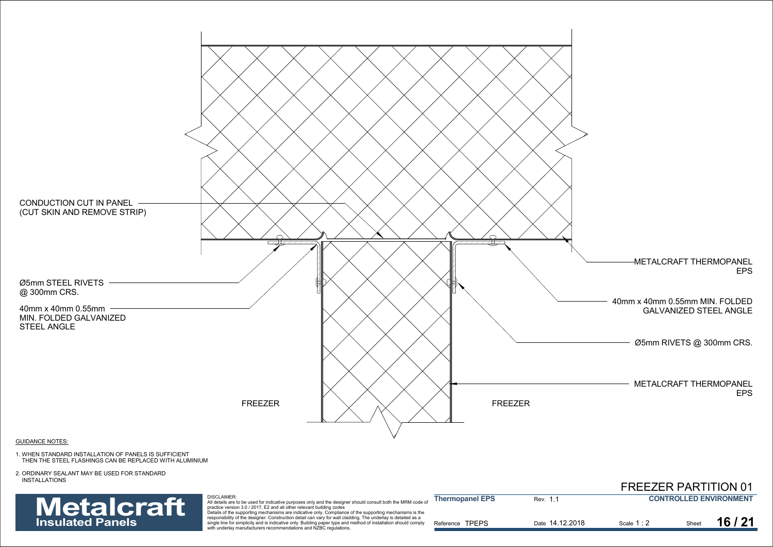

- 
- 1. WHEN STANDARD INSTALLATION OF PANELS IS SUFFICIENT THEN THE STEEL FLASHINGS CAN BE REPLACED WITH ALUMINIUM
- 2. ORDINARY SEALANT MAY BE USED FOR STANDARD INSTALLATIONS

# **Insulated Panels**

| <b>Metalcraft</b>       | DISCLAIMER:<br>" All details are to be used for indicative purposes only and the designer should consult both the MRM code of<br>practice version 3.0 / 2017. E2 and all other relevant building codes                                                                                                                                                                                                            | <b>Thermopanel EPS</b> | Rev. 1.         |           |       | <b>CONTROLLED ENVIRONMENT</b> |
|-------------------------|-------------------------------------------------------------------------------------------------------------------------------------------------------------------------------------------------------------------------------------------------------------------------------------------------------------------------------------------------------------------------------------------------------------------|------------------------|-----------------|-----------|-------|-------------------------------|
| <b>Insulated Panels</b> | Details of the supporting mechanisms are indicative only. Compliance of the supporting mechanisms is the<br>responsibility of the designer. Construction detail can vary for wall cladding. The underlay is detailed as a<br>single line for simplicity and is indicative only. Building paper type and method of installation should comply<br>with underlay manufacturers recommendations and NZBC regulations. | Reference TPEPS        | Date 14.12.2018 | Scale 1:2 | Sheet | $16/2^7$                      |

FREEZER PARTITION 01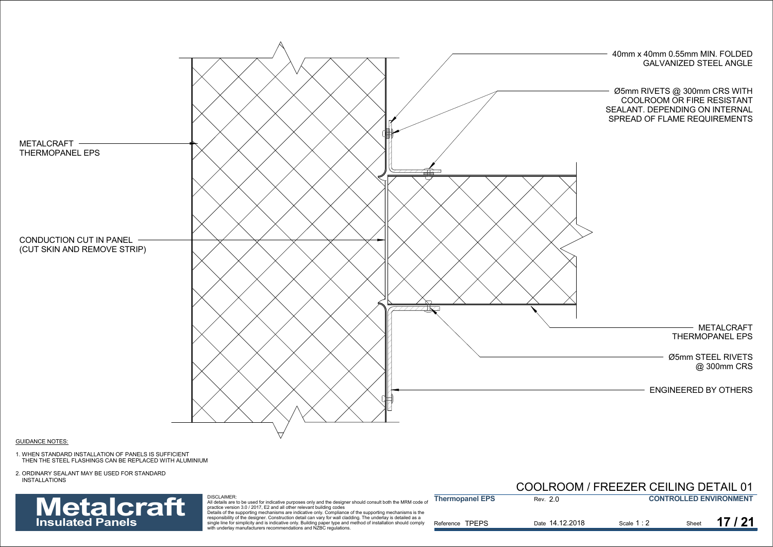

- 1. WHEN STANDARD INSTALLATION OF PANELS IS SUFFICIENT THEN THE STEEL FLASHINGS CAN BE REPLACED WITH ALUMINIUM
- 2. ORDINARY SEALANT MAY BE USED FOR STANDARD INSTALLATIONS



DISCLAIMER:

responsibility of the designer. Construction detail can vary for wall cladding. The underlay is detailed as a

#### **MCCCCPC**ENVIRONMEN<br>Details of the superation and and the creation and the designer should consult both the MRM code of Thermopanel EPS<br>Details of the supporting mechanisms are indicative purposes only and the designer sho **CONTROLLED ENVIRONMENTThermopanel EPS** Rev. 2.0 COOLROOM / FREEZER CEILING DETAIL 01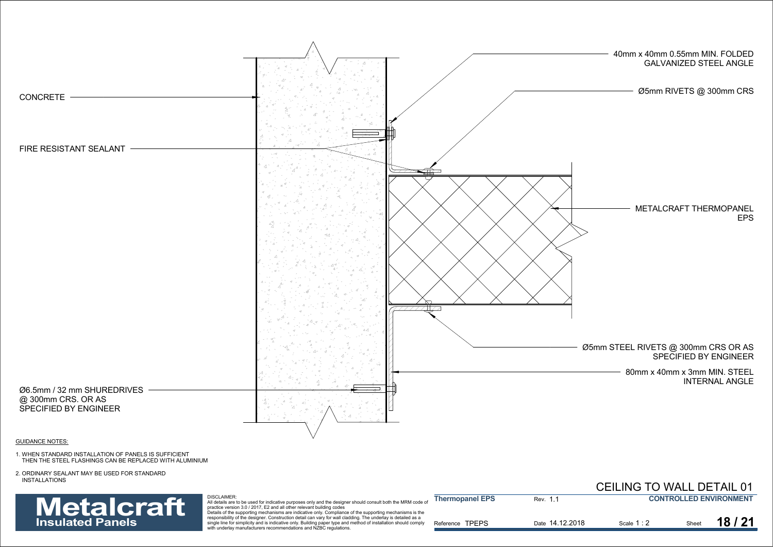

- 1. WHEN STANDARD INSTALLATION OF PANELS IS SUFFICIENT THEN THE STEEL FLASHINGS CAN BE REPLACED WITH ALUMINIUM
- 2. ORDINARY SEALANT MAY BE USED FOR STANDARD INSTALLATIONS



|                         |                                                                                                                                                                                                                                                                                                                           |                        |                 | <u> ULILINU TU 117 (LL DL 17 (IL UT</u> |       |                               |
|-------------------------|---------------------------------------------------------------------------------------------------------------------------------------------------------------------------------------------------------------------------------------------------------------------------------------------------------------------------|------------------------|-----------------|-----------------------------------------|-------|-------------------------------|
| <b>Metalcraft</b>       | <b>DISCLAIMER:</b><br>" All details are to be used for indicative purposes only and the designer should consult both the MRM code of<br>practice version 3.0 / 2017, E2 and all other relevant building codes<br>Details of the supporting mechanisms are indicative only. Compliance of the supporting mechanisms is the | <b>Thermopanel EPS</b> | Rev. 1.         |                                         |       | <b>CONTROLLED ENVIRONMENT</b> |
| <b>Insulated Panels</b> | responsibility of the designer. Construction detail can vary for wall cladding. The underlay is detailed as a<br>single line for simplicity and is indicative only. Building paper type and method of installation should comply<br>with underlay manufacturers recommendations and NZBC regulations.                     | Reference TPEPS        | Date 14.12.2018 | Scale 1:2                               | Sheet | 18/21                         |

CEILING TO WALL DETAIL 01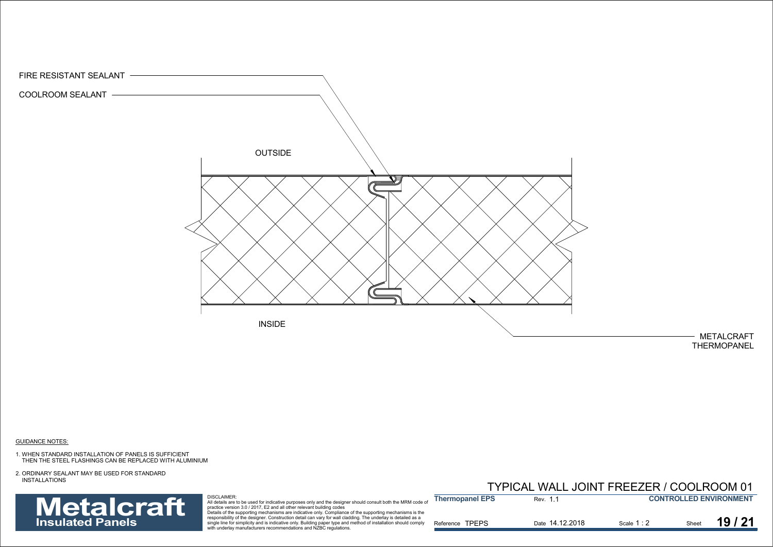

- 1. WHEN STANDARD INSTALLATION OF PANELS IS SUFFICIENT THEN THE STEEL FLASHINGS CAN BE REPLACED WITH ALUMINIUM
- 2. ORDINARY SEALANT MAY BE USED FOR STANDARD INSTALLATIONS



## TYPICAL WALL JOINT FREEZER / COOLROOM 01

|                         | <b>DISCLAIMER:</b><br>All details are to be used for indicative purposes only and the designer should consult both the MRM code of                                                                                                                                                                    | <b>Thermopanel EPS</b> | Rev. 1.1        |           | <b>CONTROLLED ENVIRONMENT</b> |
|-------------------------|-------------------------------------------------------------------------------------------------------------------------------------------------------------------------------------------------------------------------------------------------------------------------------------------------------|------------------------|-----------------|-----------|-------------------------------|
| <b>Metalcraft</b>       | practice version 3.0 / 2017. E2 and all other relevant building codes<br>Details of the supporting mechanisms are indicative only. Compliance of the supporting mechanisms is the                                                                                                                     |                        |                 |           |                               |
| <b>Insulated Panels</b> | responsibility of the designer. Construction detail can vary for wall cladding. The underlay is detailed as a<br>single line for simplicity and is indicative only. Building paper type and method of installation should comply<br>with underlay manufacturers recommendations and NZBC regulations. | Reference TPEPS        | Date 14.12.2018 | Scale 1:2 | 19 / 21                       |
|                         |                                                                                                                                                                                                                                                                                                       |                        |                 |           |                               |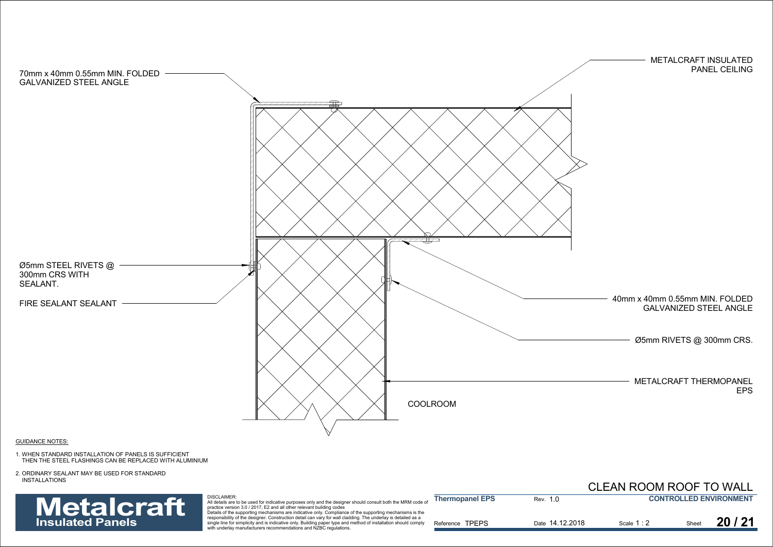

#### GUIDANCE NOTES:

- 1. WHEN STANDARD INSTALLATION OF PANELS IS SUFFICIENT THEN THE STEEL FLASHINGS CAN BE REPLACED WITH ALUMINIUM
- 2. ORDINARY SEALANT MAY BE USED FOR STANDARD INSTALLATIONS

|                         |                                                                                                                                                                                                                                                                                                                        |                        |                 | <u>ULLAN INUUM INUUL TU WALL</u> |       |                               |
|-------------------------|------------------------------------------------------------------------------------------------------------------------------------------------------------------------------------------------------------------------------------------------------------------------------------------------------------------------|------------------------|-----------------|----------------------------------|-------|-------------------------------|
| <b>Metalcraft</b>       | <b>DISCLAIMER</b><br>All details are to be used for indicative purposes only and the designer should consult both the MRM code o.<br>practice version 3.0 / 2017. E2 and all other relevant building codes<br>Details of the supporting mechanisms are indicative only. Compliance of the supporting mechanisms is the | <b>Thermopanel EPS</b> | Rev. 1.0        |                                  |       | <b>CONTROLLED ENVIRONMENT</b> |
| <b>Insulated Panels</b> | responsibility of the designer. Construction detail can vary for wall cladding. The underlay is detailed as a<br>single line for simplicity and is indicative only. Building paper type and method of installation should comply<br>with underlay manufacturers recommendations and NZBC regulations.                  | Reference TPEPS        | Date 14.12.2018 | Scale 1:2                        | Sheet | 20/21                         |

CLEAN ROOM ROOF TO WALL